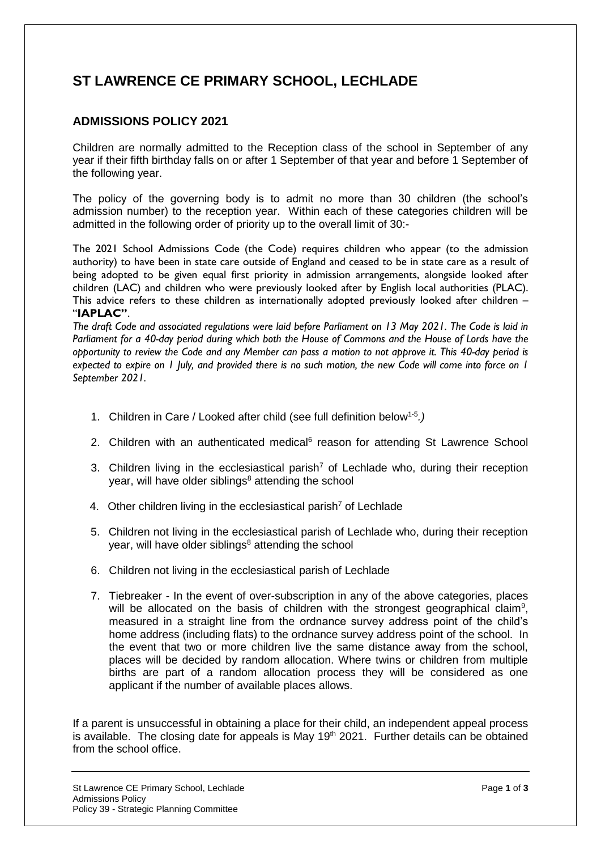# **ST LAWRENCE CE PRIMARY SCHOOL, LECHLADE**

# **ADMISSIONS POLICY 2021**

Children are normally admitted to the Reception class of the school in September of any year if their fifth birthday falls on or after 1 September of that year and before 1 September of the following year.

The policy of the governing body is to admit no more than 30 children (the school's admission number) to the reception year. Within each of these categories children will be admitted in the following order of priority up to the overall limit of 30:-

The 2021 School Admissions Code (the Code) requires children who appear (to the admission authority) to have been in state care outside of England and ceased to be in state care as a result of being adopted to be given equal first priority in admission arrangements, alongside looked after children (LAC) and children who were previously looked after by English local authorities (PLAC). This advice refers to these children as internationally adopted previously looked after children – "**IAPLAC"**.

The draft Code and associated regulations were laid before Parliament on 13 May 2021. The Code is laid in Parliament for a 40-day period during which both the House of Commons and the House of Lords have the obbortunity to review the Code and any Member can bass a motion to not abbrove it. This 40-day period is expected to expire on 1 July, and provided there is no such motion, the new Code will come into force on 1 *September 2021.*

- 1. Children in Care / Looked after child (see full definition below1-5 *.)*
- 2. Children with an authenticated medical<sup>6</sup> reason for attending St Lawrence School
- 3. Children living in the ecclesiastical parish<sup>7</sup> of Lechlade who, during their reception year, will have older siblings<sup>8</sup> attending the school
- 4. Other children living in the ecclesiastical parish<sup>7</sup> of Lechlade
- 5. Children not living in the ecclesiastical parish of Lechlade who, during their reception year, will have older siblings<sup>8</sup> attending the school
- 6. Children not living in the ecclesiastical parish of Lechlade
- 7. Tiebreaker In the event of over-subscription in any of the above categories, places will be allocated on the basis of children with the strongest geographical claim<sup>9</sup>, measured in a straight line from the ordnance survey address point of the child's home address (including flats) to the ordnance survey address point of the school. In the event that two or more children live the same distance away from the school, places will be decided by random allocation. Where twins or children from multiple births are part of a random allocation process they will be considered as one applicant if the number of available places allows.

If a parent is unsuccessful in obtaining a place for their child, an independent appeal process is available. The closing date for appeals is May  $19<sup>th</sup> 2021$ . Further details can be obtained from the school office.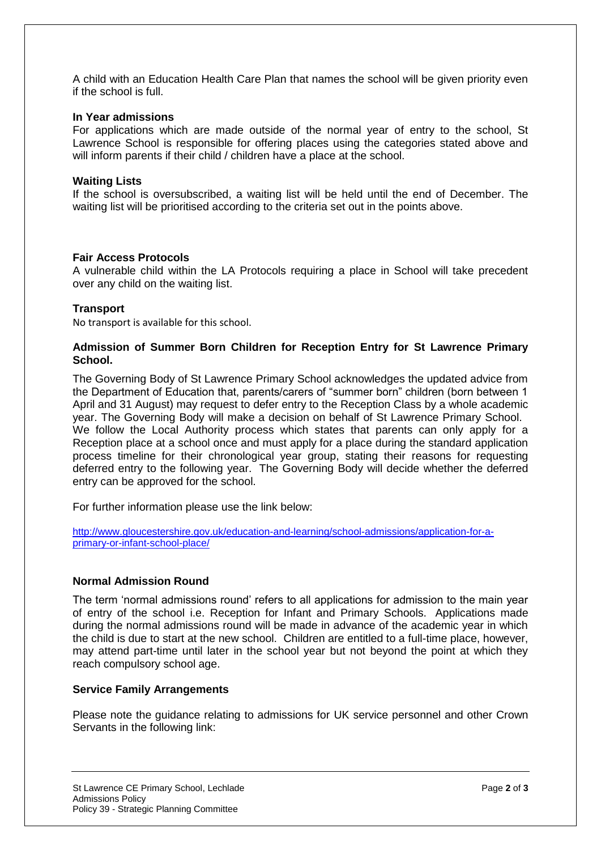A child with an Education Health Care Plan that names the school will be given priority even if the school is full.

#### **In Year admissions**

For applications which are made outside of the normal year of entry to the school, St Lawrence School is responsible for offering places using the categories stated above and will inform parents if their child / children have a place at the school.

#### **Waiting Lists**

If the school is oversubscribed, a waiting list will be held until the end of December. The waiting list will be prioritised according to the criteria set out in the points above.

#### **Fair Access Protocols**

A vulnerable child within the LA Protocols requiring a place in School will take precedent over any child on the waiting list.

#### **Transport**

No transport is available for this school.

#### **Admission of Summer Born Children for Reception Entry for St Lawrence Primary School.**

The Governing Body of St Lawrence Primary School acknowledges the updated advice from the Department of Education that, parents/carers of "summer born" children (born between 1 April and 31 August) may request to defer entry to the Reception Class by a whole academic year. The Governing Body will make a decision on behalf of St Lawrence Primary School. We follow the Local Authority process which states that parents can only apply for a Reception place at a school once and must apply for a place during the standard application process timeline for their chronological year group, stating their reasons for requesting deferred entry to the following year. The Governing Body will decide whether the deferred entry can be approved for the school.

For further information please use the link below:

[http://www.gloucestershire.gov.uk/education-and-learning/school-admissions/application-for-a](http://www.gloucestershire.gov.uk/education-and-learning/school-admissions/application-for-a-primary-or-infant-school-place/)[primary-or-infant-school-place/](http://www.gloucestershire.gov.uk/education-and-learning/school-admissions/application-for-a-primary-or-infant-school-place/)

## **Normal Admission Round**

The term 'normal admissions round' refers to all applications for admission to the main year of entry of the school i.e. Reception for Infant and Primary Schools. Applications made during the normal admissions round will be made in advance of the academic year in which the child is due to start at the new school. Children are entitled to a full-time place, however, may attend part-time until later in the school year but not beyond the point at which they reach compulsory school age.

## **Service Family Arrangements**

Please note the guidance relating to admissions for UK service personnel and other Crown Servants in the following link: